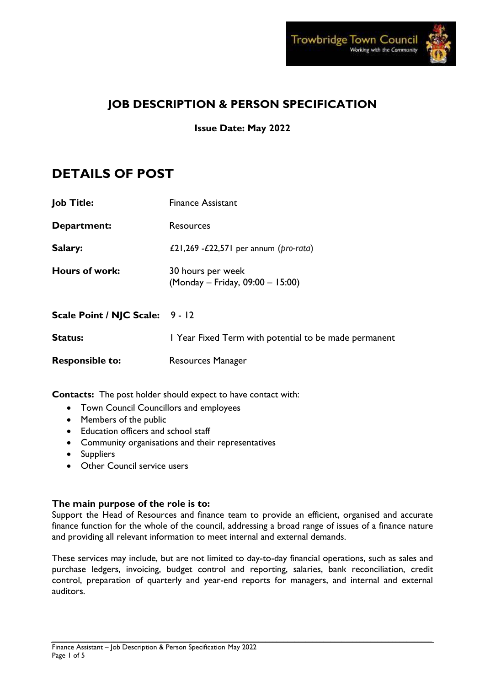

# **JOB DESCRIPTION & PERSON SPECIFICATION**

**Issue Date: May 2022**

# **DETAILS OF POST**

| Job Title:                      | <b>Finance Assistant</b>                              |
|---------------------------------|-------------------------------------------------------|
| Department:                     | Resources                                             |
| Salary:                         | £21,269 - $E$ 22,571 per annum (pro-rata)             |
| <b>Hours of work:</b>           | 30 hours per week<br>(Monday – Friday, 09:00 – 15:00) |
| <b>Scale Point / NJC Scale:</b> | $9 - 12$                                              |
| <b>Status:</b>                  | I Year Fixed Term with potential to be made permanent |

**Responsible to:** Resources Manager

**Contacts:** The post holder should expect to have contact with:

- Town Council Councillors and employees
- Members of the public
- Education officers and school staff
- Community organisations and their representatives
- Suppliers
- Other Council service users

# **The main purpose of the role is to:**

Support the Head of Resources and finance team to provide an efficient, organised and accurate finance function for the whole of the council, addressing a broad range of issues of a finance nature and providing all relevant information to meet internal and external demands.

These services may include, but are not limited to day-to-day financial operations, such as sales and purchase ledgers, invoicing, budget control and reporting, salaries, bank reconciliation, credit control, preparation of quarterly and year-end reports for managers, and internal and external auditors.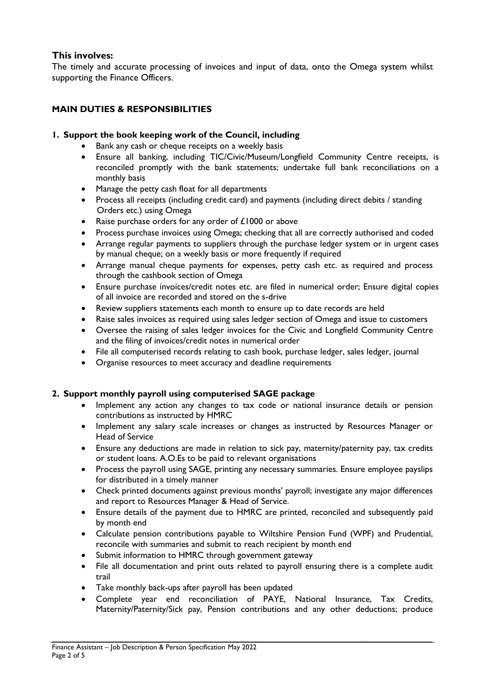# **This involves:**

The timely and accurate processing of invoices and input of data, onto the Omega system whilst supporting the Finance Officers.

# **MAIN DUTIES & RESPONSIBILITIES**

### **1. Support the book keeping work of the Council, including**

- Bank any cash or cheque receipts on a weekly basis
- Ensure all banking, including TIC/Civic/Museum/Longfield Community Centre receipts, is reconciled promptly with the bank statements; undertake full bank reconciliations on a monthly basis
- Manage the petty cash float for all departments
- Process all receipts (including credit card) and payments (including direct debits / standing Orders etc.) using Omega
- Raise purchase orders for any order of £1000 or above
- Process purchase invoices using Omega; checking that all are correctly authorised and coded
- Arrange regular payments to suppliers through the purchase ledger system or in urgent cases by manual cheque; on a weekly basis or more frequently if required
- Arrange manual cheque payments for expenses, petty cash etc. as required and process through the cashbook section of Omega
- Ensure purchase invoices/credit notes etc. are filed in numerical order; Ensure digital copies of all invoice are recorded and stored on the s-drive
- Review suppliers statements each month to ensure up to date records are held
- Raise sales invoices as required using sales ledger section of Omega and issue to customers
- Oversee the raising of sales ledger invoices for the Civic and Longfield Community Centre and the filing of invoices/credit notes in numerical order
- File all computerised records relating to cash book, purchase ledger, sales ledger, journal
- Organise resources to meet accuracy and deadline requirements

### **2. Support monthly payroll using computerised SAGE package**

- Implement any action any changes to tax code or national insurance details or pension contributions as instructed by HMRC
- Implement any salary scale increases or changes as instructed by Resources Manager or Head of Service
- Ensure any deductions are made in relation to sick pay, maternity/paternity pay, tax credits or student loans. A.O.Es to be paid to relevant organisations
- Process the payroll using SAGE, printing any necessary summaries. Ensure employee payslips for distributed in a timely manner
- Check printed documents against previous months' payroll; investigate any major differences and report to Resources Manager & Head of Service.
- Ensure details of the payment due to HMRC are printed, reconciled and subsequently paid by month end
- Calculate pension contributions payable to Wiltshire Pension Fund (WPF) and Prudential, reconcile with summaries and submit to reach recipient by month end
- Submit information to HMRC through government gateway
- File all documentation and print outs related to payroll ensuring there is a complete audit trail
- Take monthly back-ups after payroll has been updated
- Complete year end reconciliation of PAYE, National Insurance, Tax Credits, Maternity/Paternity/Sick pay, Pension contributions and any other deductions; produce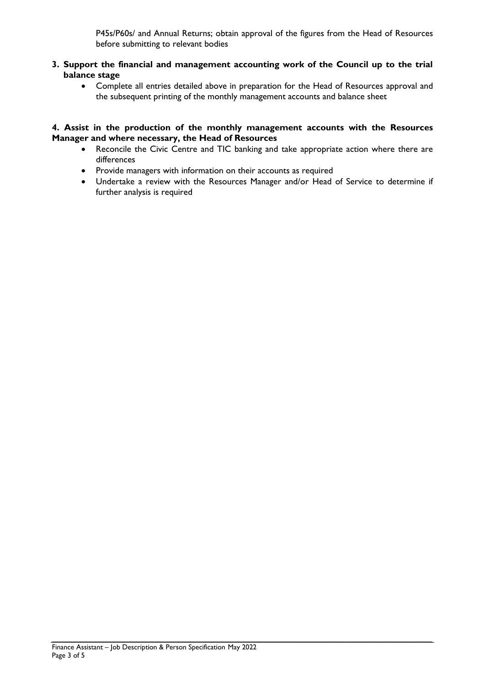P45s/P60s/ and Annual Returns; obtain approval of the figures from the Head of Resources before submitting to relevant bodies

- **3. Support the financial and management accounting work of the Council up to the trial balance stage**
	- Complete all entries detailed above in preparation for the Head of Resources approval and the subsequent printing of the monthly management accounts and balance sheet

#### **4. Assist in the production of the monthly management accounts with the Resources Manager and where necessary, the Head of Resources**

- Reconcile the Civic Centre and TIC banking and take appropriate action where there are differences
- Provide managers with information on their accounts as required
- Undertake a review with the Resources Manager and/or Head of Service to determine if further analysis is required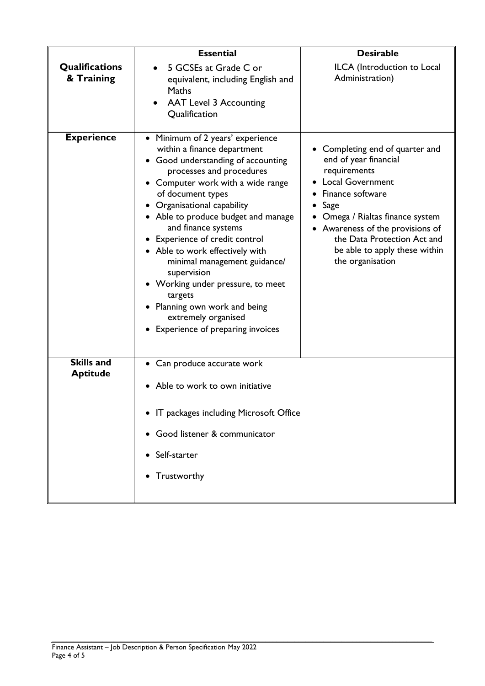|                                      | <b>Essential</b>                                                                                                                                                                                                                                                                                                                                                                                                                                                                                                                                         | <b>Desirable</b>                                                                                                                                                                                                                                                                            |
|--------------------------------------|----------------------------------------------------------------------------------------------------------------------------------------------------------------------------------------------------------------------------------------------------------------------------------------------------------------------------------------------------------------------------------------------------------------------------------------------------------------------------------------------------------------------------------------------------------|---------------------------------------------------------------------------------------------------------------------------------------------------------------------------------------------------------------------------------------------------------------------------------------------|
| Qualifications<br>& Training         | 5 GCSEs at Grade C or<br>$\bullet$<br>equivalent, including English and<br>Maths<br><b>AAT Level 3 Accounting</b><br>Qualification                                                                                                                                                                                                                                                                                                                                                                                                                       | ILCA (Introduction to Local<br>Administration)                                                                                                                                                                                                                                              |
| <b>Experience</b>                    | • Minimum of 2 years' experience<br>within a finance department<br>• Good understanding of accounting<br>processes and procedures<br>• Computer work with a wide range<br>of document types<br>• Organisational capability<br>• Able to produce budget and manage<br>and finance systems<br>• Experience of credit control<br>• Able to work effectively with<br>minimal management guidance/<br>supervision<br>• Working under pressure, to meet<br>targets<br>Planning own work and being<br>extremely organised<br>• Experience of preparing invoices | • Completing end of quarter and<br>end of year financial<br>requirements<br><b>Local Government</b><br>• Finance software<br>Sage<br>Omega / Rialtas finance system<br>• Awareness of the provisions of<br>the Data Protection Act and<br>be able to apply these within<br>the organisation |
| <b>Skills and</b><br><b>Aptitude</b> | • Can produce accurate work<br>• Able to work to own initiative<br>• IT packages including Microsoft Office<br>• Good listener & communicator<br>• Self-starter<br>• Trustworthy                                                                                                                                                                                                                                                                                                                                                                         |                                                                                                                                                                                                                                                                                             |